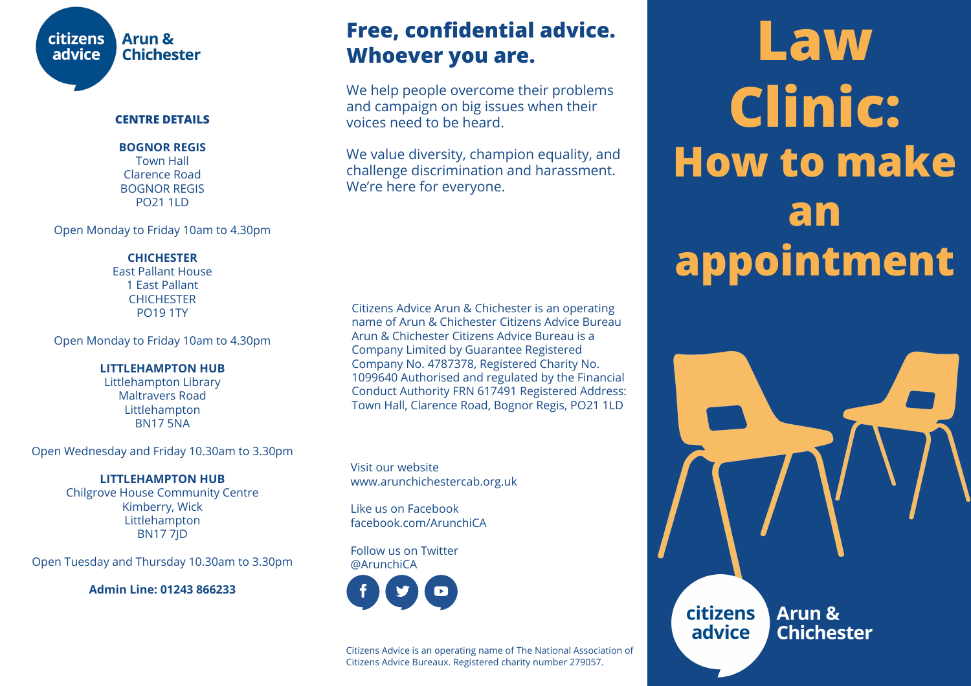

### **CENTRE DETAILS**

**BOGNOR REGIS** Town Hall Clarence Road BOGNOR REGIS PO21 1LD

Open Monday to Friday 10am to 4.30pm

### **CHICHESTER**

East Pallant House 1 East Pallant **CHICHESTER** PO19 1TY

Open Monday to Friday 10am to 4.30pm

### **LITTLEHAMPTON HUB**

Littlehampton Library Maltravers Road Littlehampton BN17 5NA

Open Wednesday and Friday 10.30am to 3.30pm

**LITTLEHAMPTON HUB** Chilgrove House Community Centre Kimberry, Wick Littlehampton BN17 7JD

Open Tuesday and Thursday 10.30am to 3.30pm

**Admin Line: 01243 866233**

## **Free, confidential advice. Whoever you are.**

We help people overcome their problems and campaign on big issues when their voices need to be heard.

We value diversity, champion equality, and challenge discrimination and harassment. We're here for everyone.

Citizens Advice Arun & Chichester is an operating name of Arun & Chichester Citizens Advice Bureau Arun & Chichester Citizens Advice Bureau is a Company Limited by Guarantee Registered Company No. 4787378, Registered Charity No. 1099640 Authorised and regulated by the Financial Conduct Authority FRN 617491 Registered Address: Town Hall, Clarence Road, Bognor Regis, PO21 1LD

Visit our website www.arunchichestercab.org.uk

Like us on Facebook facebook.com/ArunchiCA

Follow us on Twitter @ArunchiCA



Citizens Advice is an operating name of The National Association of Citizens Advice Bureaux. Registered charity number 279057.

# **Law Clinic: How to make an appointment**

citizens Arun & **Chichester** advice